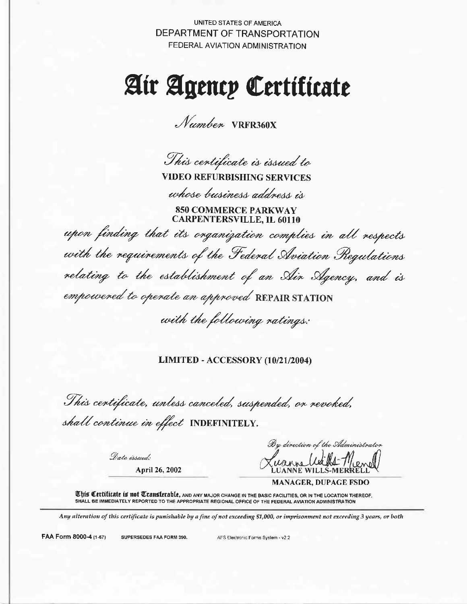**UNITED STATES OF AMERICA** DEPARTMENT OF TRANSPORTATION FEDERAL AVIATION ADMINISTRATION

# Air Agency Certiticate

*Number* VRFR360X

This centificate is issued to

**VIDEO REFURBISHING SERVICES** 

whose business address is

**850 COMMERCE PARKWAY CARPENTERSVILLE, IL 60110** 

upon finding that its organization complies in all respects with the requirements of the Federal Aviation Regulations relating to the establishment of an Air Agency, and is empowered to operate an approved REPAIR STATION

with the following ratings:

## LIMITED - ACCESSORY (10/21/2004)

This certificate, unless canceled, suspended, or revoked, shall continue in effect INDEFINITELY.

Date issued: April 26, 2002

By direction of the Administrator

**MANAGER, DUPAGE FSDO** 

This Certificate is not Transterable, AND ANY MAJOR CHANGE IN THE BASIC FACILITIES, OR IN THE LOCATION THEREOF, SHALL BE IMMEDIATELY REPORTED TO THE APPROPRIATE REGIONAL OFFICE OF THE FEDERAL AVIATION ADMINISTRATION

Any alteration of this certificate is punishable by a fine of not exceeding \$1,000, or imprisonment not exceeding 3 years, or both

FAA Form 8000-4 (1-67)

SUPERSEDES FAA FORM 390.

AFS Electronic Forms System - v2 2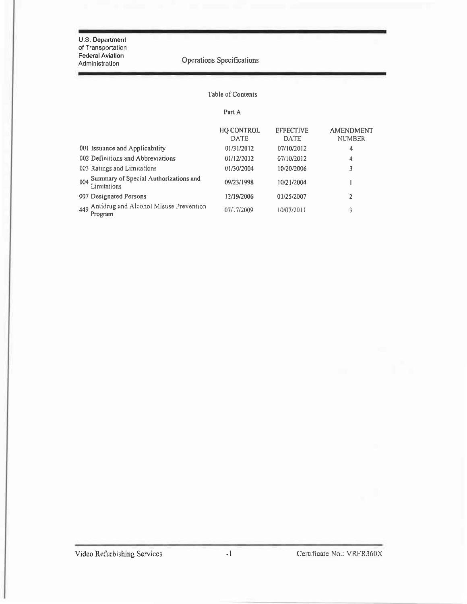U.S. Department of Transportation **Federal Aviation** Administration

Operations Specifications

## Table of Contents

Part A

|                                                          | <b>HO CONTROL</b><br><b>DATE</b> | <b>EFFECTIVE</b><br><b>DATE</b> | <b>AMENDMENT</b><br><b>NUMBER</b> |
|----------------------------------------------------------|----------------------------------|---------------------------------|-----------------------------------|
| 001 Issuance and Applicability                           | 01/31/2012                       | 07/10/2012                      | 4                                 |
| 002 Definitions and Abbreviations                        | 01/12/2012                       | 07/10/2012                      | 4                                 |
| 003 Ratings and Limitations                              | 01/30/2004                       | 10/20/2006                      | 3                                 |
| 004 Summary of Special Authorizations and<br>Limitations | 09/23/1998                       | 10/21/2004                      |                                   |
| 007 Designated Persons                                   | 12/19/2006                       | 01/25/2007                      | 2                                 |
| 449 Antidrug and Alcohol Misuse Prevention<br>Program    | 07/17/2009                       | 10/07/2011                      | 3                                 |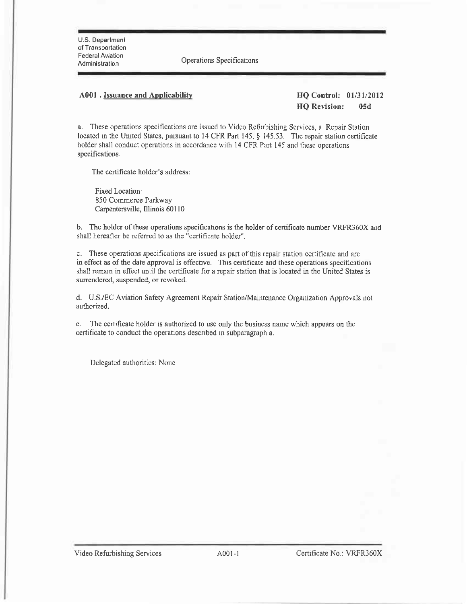U.S. Departmenl of Transportation Federal Aviation<br>Administration

Operations Specifications

#### A001 . Issuance and Applicability **HQ** Control: 01/31/2012

IIQ Revision: 05d

a. These operations specifications are issued to Video Refurbishing Services, a Repair Station located in the United States, pursuant to 14 CFR Part 145, § 145.53. The repair station certificate holder shall conduct operations in accordance with 14 CFR Part 145 and these operations specifications.

The certificate holder's address:

Fixed Location: 850 Commerce Parkway Carpentersville, Illinois 60110

b. The holder of these operations specifications is the holder of certificate number VRFR360X and shall hereafter be refened to as the "certificate holder".

c. These operations specifications are issued as part of this repair station certificate and are in effect as of the date approval is effective. This certificate and these operations specifications shall remain in effect until the certificate for a repair station that is located in the United States is surrendered, suspended, or revoked.

d- U.S./EC Aviation Safety Agreement Repair Station/Maintenance Organization Approvals not authorized.

e. The certificate holder is authorized to use only the business name which appears on the certificate to conduct the operations described in subparagraph a.

Delegated authorities: None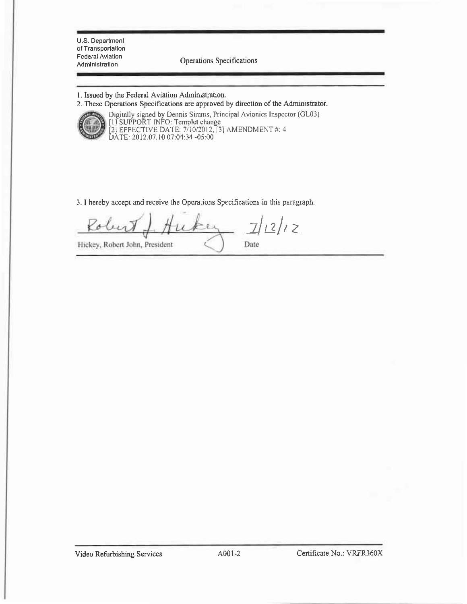U.S. Department of Transporlation **Federal Aviation** 

Federal Aviation<br>Administration **Operations** Specifications

- l. Issued by the Federal Aviation Administration.
- 2. These Operations Specifications are approved by direction of the Administrator.



Digitally signed by Dennis Sirnms, Principal Avionics Inspcctot (GL03) IJ SUPPORT INFO: Tcrnplct changc [2] EFFECTIVE DATE: 7/10/2012, [3] AMENDMENT #: 4 DATE: 2012.07.10 07:04:34 -05:00

3. I hereby accept and receive the Operations Specifications in this paragraph.

 $7/12/12$ Robert  $\ell$  2 Hickey, Robert John, President Date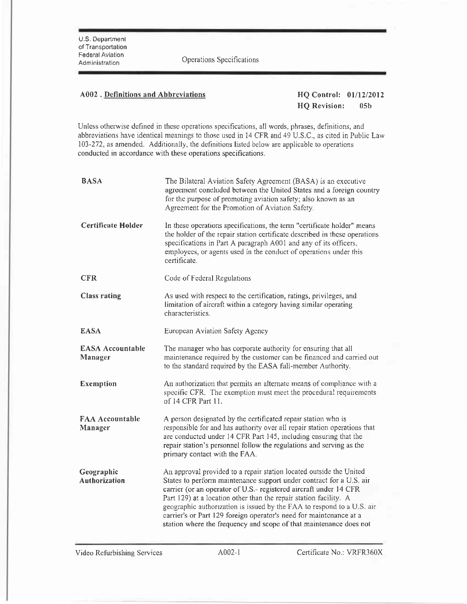redetal Aviation<br>Administration Cperations Specifications

## A002. Definitions and Abbreviations **HQ Control:** 01/12/2012

HQ Revision: 05b

Unless otherwise defined in these operations specifications, all words, phrases, definitions, and abbreviations have identical mearings to those used in 14 CFR and 49 U,S,C., as citcd in Publjc Law 103-272, as amended. Additionally, the definitions listed below are applicable to operations conducted in accordance with these operations specifications.

| <b>BASA</b>                        | The Bilateral Aviation Safety Agreement (BASA) is an executive<br>agreement concluded between the United States and a foreign country<br>for the purpose of promoting aviation safety; also known as an<br>Agreement for the Promotion of Aviation Safety.                                                                                                                                                                                                                                                 |
|------------------------------------|------------------------------------------------------------------------------------------------------------------------------------------------------------------------------------------------------------------------------------------------------------------------------------------------------------------------------------------------------------------------------------------------------------------------------------------------------------------------------------------------------------|
| <b>Certificate Holder</b>          | In these operations specifications, the term "certificate holder" means<br>the holder of the repair station certificate described in these operations<br>specifications in Part A paragraph A001 and any of its officers,<br>employees, or agents used in the conduct of operations under this<br>certificate.                                                                                                                                                                                             |
| <b>CFR</b>                         | Code of Federal Regulations                                                                                                                                                                                                                                                                                                                                                                                                                                                                                |
| <b>Class rating</b>                | As used with respect to the certification, ratings, privileges, and<br>limitation of aircraft within a category having similar operating<br>characteristics :                                                                                                                                                                                                                                                                                                                                              |
| <b>EASA</b>                        | European Aviation Safety Agency                                                                                                                                                                                                                                                                                                                                                                                                                                                                            |
| <b>EASA Accountable</b><br>Manager | The manager who has corporate authority for ensuring that all<br>maintenance required by the customer can be financed and carried out<br>to the standard required by the EASA full-member Authority.                                                                                                                                                                                                                                                                                                       |
| <b>Exemption</b>                   | An authorization that permits an alternate means of compliance with a<br>specific CFR. The exemption must meet the procedural requirements<br>of 14 CFR Part 11.                                                                                                                                                                                                                                                                                                                                           |
| <b>FAA Accountable</b><br>Manager  | A person designated by the certificated repair station who is<br>responsible for and has authority over all repair station operations that<br>are conducted under 14 CFR Part 145, including ensuring that the<br>repair station's personnel follow the regulations and serving as the<br>primary contact with the FAA.                                                                                                                                                                                    |
| Geographic<br><b>Authorization</b> | An approval provided to a repair station located outside the United<br>States to perform maintenance support under contract for a U.S. air<br>carrier (or an operator of U.S.- registered aircraft under 14 CFR<br>Part 129) at a location other than the repair station facility. A<br>geographic authorization is issued by the FAA to respond to a U.S. air<br>carrier's or Part 129 foreign operator's need for maintenance at a<br>station where the frequency and scope of that maintenance does not |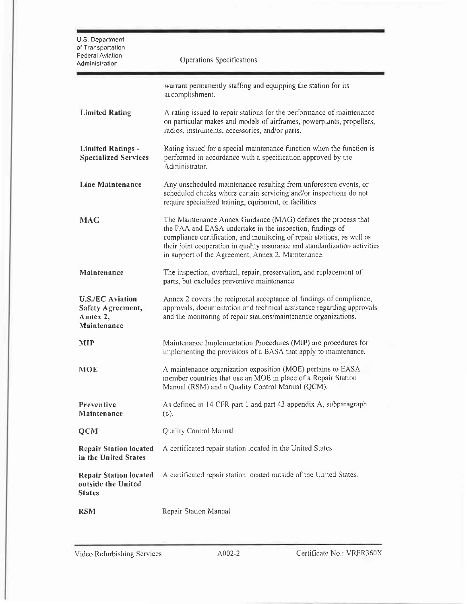| U.S. Department<br>of Transportation<br>Federal Aviation<br>Administration | Operations Specifications                                                                                                                                                                                                                                                                                                                  |
|----------------------------------------------------------------------------|--------------------------------------------------------------------------------------------------------------------------------------------------------------------------------------------------------------------------------------------------------------------------------------------------------------------------------------------|
|                                                                            | warrant permanently staffing and equipping the station for its<br>accomplishment.                                                                                                                                                                                                                                                          |
| <b>Limited Rating</b>                                                      | A rating issued to repair stations for the performance of maintenance<br>on particular makes and models of airframes, powerplants, propellers,<br>radios, instruments, accessories, and/or parts.                                                                                                                                          |
| <b>Limited Ratings -</b><br><b>Specialized Services</b>                    | Rating issued for a special maintenance function when the function is<br>performed in accordance with a specification approved by the<br>Administrator.                                                                                                                                                                                    |
| Line Maintenance                                                           | Any unscheduled maintenance resulting from unforeseen events, or<br>scheduled checks where certain servicing and/or inspections do not<br>require specialized training, equipment, or facilities.                                                                                                                                          |
| <b>MAG</b>                                                                 | The Maintenance Annex Guidance (MAG) defines the process that<br>the FAA and EASA undertake in the inspection, findings of<br>compliance certification, and monitoring of repair stations, as well as<br>their joint cooperation in quality assurance and standardization activities<br>in support of the Agreement, Annex 2, Maintenance. |
| Maintenance                                                                | The inspection, overhaul, repair, preservation, and replacement of<br>parts, but excludes preventive maintenance.                                                                                                                                                                                                                          |
| <b>U.S./EC Aviation</b><br>Safety Agreement,<br>Annex 2,<br>Maintenance    | Annex 2 covers the reciprocal acceptance of findings of compliance,<br>approvals, documentation and technical assistance regarding approvals<br>and the monitoring of repair stations/maintenance organizations.                                                                                                                           |
| <b>MIP</b>                                                                 | Maintenance Implementation Procedures (MIP) are procedures for<br>implementing the provisions of a BASA that apply to maintenance.                                                                                                                                                                                                         |
| <b>MOE</b>                                                                 | A maintenance organization exposition (MOE) pertains to EASA<br>member countries that use an MOE in place of a Repair Station<br>Manual (RSM) and a Quality Control Manual (QCM).                                                                                                                                                          |
| Preventive<br>Maintenance                                                  | As defined in 14 CFR part 1 and part 43 appendix A, subparagraph<br>(c).                                                                                                                                                                                                                                                                   |
| <b>OCM</b>                                                                 | Quality Control Manual                                                                                                                                                                                                                                                                                                                     |
| <b>Repair Station located</b><br>in the United States                      | A certificated repair station located in the United States.                                                                                                                                                                                                                                                                                |
| <b>Repair Station located</b><br>outside the United<br><b>States</b>       | A certificated repair station located outside of the United States.                                                                                                                                                                                                                                                                        |
| <b>RSM</b>                                                                 | Repair Station Manual                                                                                                                                                                                                                                                                                                                      |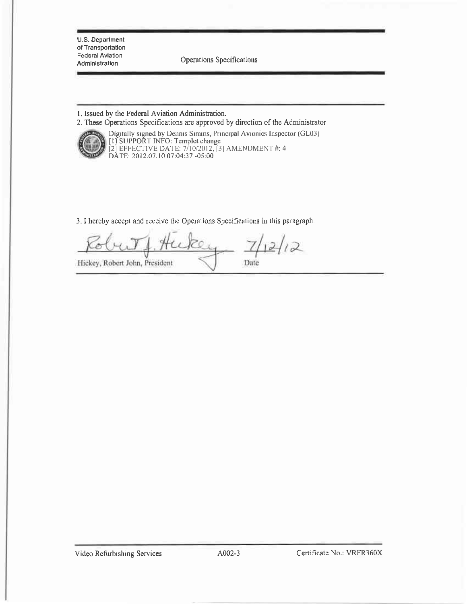U.S. Department of Transportation Federal Aviation Administration

Operations Specifications

1. Issued by the Federal Aviation Administration.

2. These Operations Specifications are approved by direction of the Administrator.



Digitally signed by Dennis Simms, Principal Avionics Inspector (GL03)<br>[1] SUPPORT INFO: Templet change<br>[2] EFFECTIVE DATE: 7/10/2012, [3] AMENDMENT #: 4<br>DATE: 2012.07.10 07:04:37 -05:00

3. I hereby accept and receive the Operations Specifications in this paragraph.

 $12$ Hickey, Robert John, President Date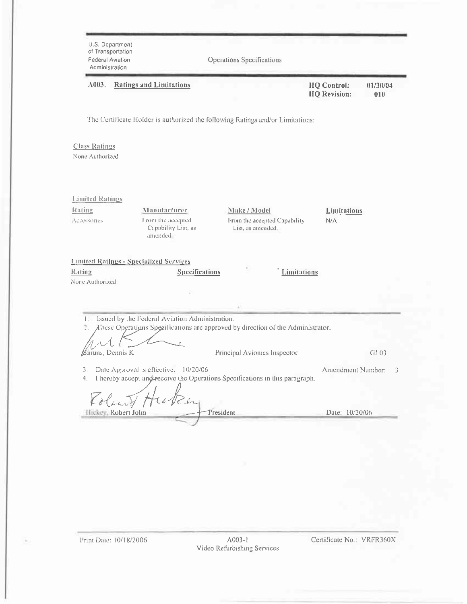| <b>Federal Aviation</b><br>Administration | U.S. Department<br>of Transportation                                   | Operations Specifications                                                                                       |                                           |                 |
|-------------------------------------------|------------------------------------------------------------------------|-----------------------------------------------------------------------------------------------------------------|-------------------------------------------|-----------------|
| A003.                                     | <b>Ratings and Limitations</b>                                         |                                                                                                                 | <b>HQ Control:</b><br><b>HQ</b> Revision: | 01/30/04<br>010 |
|                                           |                                                                        | The Certificate Holder is authorized the following Ratings and/or Limitations:                                  |                                           |                 |
| <b>Class Ratings</b><br>None Authorized   |                                                                        |                                                                                                                 |                                           |                 |
| <b>Limited Ratings</b>                    |                                                                        |                                                                                                                 |                                           |                 |
| Rating<br>Accessories                     | Manufacturer<br>From the accepted<br>Capability List, as<br>amended.   | Make / Model<br>From the accepted Capability<br>List, as amended.                                               | Limitations<br>N/A                        |                 |
| Rating<br>Vone Authorized.                | <b>Limited Ratings - Specialized Services</b><br><b>Specifications</b> | Limitations                                                                                                     |                                           |                 |
|                                           |                                                                        |                                                                                                                 |                                           |                 |
| łэ<br>$\frac{1}{2}$ .<br>Simms, Dennis K. | Issued by the Federal Aviation Administration.                         | These Operations Specifications are approved by direction of the Administrator.<br>Principal Avionics Inspector |                                           | GL03            |
| 3.<br>4.<br>Policit A                     | Date Approval is effective:<br>10/20/06                                | I hereby accept and receive the Operations Specifications in this paragraph.                                    | Amendment Number:                         |                 |
|                                           | Hickey, Robert Jolm                                                    | President                                                                                                       | Date: 10/20/06                            |                 |

I

Certificate No.: VRFR360X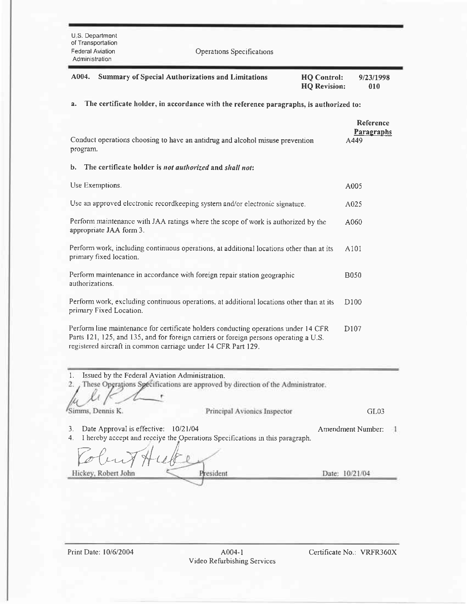| U.S. Department<br>of Transportation<br>Federal Aviation<br>Administration                                                                                                                                                                    | <b>Operations Specifications</b> |                                           |                                               |
|-----------------------------------------------------------------------------------------------------------------------------------------------------------------------------------------------------------------------------------------------|----------------------------------|-------------------------------------------|-----------------------------------------------|
| A004.<br><b>Summary of Special Authorizations and Limitations</b>                                                                                                                                                                             |                                  | <b>HQ</b> Control:<br><b>HQ Revision:</b> | 9/23/1998<br>010                              |
| The certificate holder, in accordance with the reference paragraphs, is authorized to:<br>a.                                                                                                                                                  |                                  |                                           |                                               |
| Conduct operations choosing to have an antidrug and alcohol misuse prevention<br>program.                                                                                                                                                     |                                  |                                           | <b>Reference</b><br><b>Paragraphs</b><br>A449 |
| The certificate holder is not authorized and shall not:<br>b.                                                                                                                                                                                 |                                  |                                           |                                               |
| Use Exemptions.                                                                                                                                                                                                                               |                                  |                                           | A005                                          |
| Use an approved electronic recordkeeping system and/or electronic signature.                                                                                                                                                                  |                                  |                                           | A025                                          |
| Perform maintenance with JAA ratings where the scope of work is authorized by the<br>appropriate JAA form 3.                                                                                                                                  |                                  |                                           | A060                                          |
| Perform work, including continuous operations, at additional locations other than at its<br>primary fixed location.                                                                                                                           |                                  |                                           | A101                                          |
| Perform maintenance in accordance with foreign repair station geographic<br>authorizations.                                                                                                                                                   |                                  |                                           | <b>B050</b>                                   |
| Perform work, excluding continuous operations, at additional locations other than at its<br>primary Fixed Location.                                                                                                                           |                                  |                                           | D <sub>100</sub>                              |
| Perform line maintenance for certificate holders conducting operations under 14 CFR<br>Parts 121, 125, and 135, and for foreign carriers or foreign persons operating a U.S.<br>registered aircraft in common carriage under 14 CFR Part 129. |                                  |                                           | D <sub>107</sub>                              |
| 1.<br>Issued by the Federal Aviation Administration.<br>These Operations Specifications are approved by direction of the Administrator.<br>2.                                                                                                 |                                  |                                           |                                               |
| Simms, Dennis K.                                                                                                                                                                                                                              | Principal Avionics Inspector     |                                           | GL03                                          |
| Date Approval is effective:<br>10/21/04<br>3.                                                                                                                                                                                                 |                                  |                                           | Amendment Number:                             |

4. I hereby accept and receive the Operations Specifications in this paragraph.

Tobut Hube Date: 10/21/04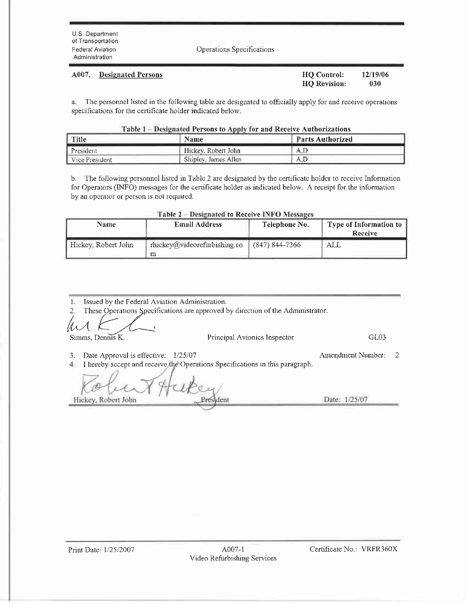**Designated Persons** 

A007.

Operations Specifications

| HQ Control:         | 12/19/06 |  |
|---------------------|----------|--|
| <b>HO</b> Revision: | 030      |  |

The personnel listed in the following table are designated to officially apply for and receive operations a. specifications for the certificate holder indicated below.

| Table 1 – Designated Persons to Apply for and Receive Authorizations |  |
|----------------------------------------------------------------------|--|
|                                                                      |  |

| Title          | <b>Name</b>          | <b>Parts Authorized</b> |
|----------------|----------------------|-------------------------|
| President      | Hickey, Robert John  | A.D                     |
| Vice President | Shipley, James Allen | A.D                     |

b. The following personnel listed in Table 2 are designated by the certificate holder to receive Information for Operators (INFO) messages for the certificate holder as indicated below. A receipt for the information by an operator or person is not required.

| Table 2 - Designated to Receive INFO Messages |  |  |
|-----------------------------------------------|--|--|
|-----------------------------------------------|--|--|

| <b>Name</b>         | <b>Email Address</b>                 | Telephone No.    | Type of Information to<br>Receive |
|---------------------|--------------------------------------|------------------|-----------------------------------|
| Hickey, Robert John | $r$ hickev@videorefurbishing.co<br>m | $(847)$ 844-7366 | ALL                               |

|                                                   | Issued by the Federal Aviation Administration.                                  |                        |
|---------------------------------------------------|---------------------------------------------------------------------------------|------------------------|
|                                                   | These Operations Specifications are approved by direction of the Administrator. |                        |
|                                                   |                                                                                 |                        |
| Simms, Dennis K.                                  | Principal Avionics Inspector                                                    | GL03                   |
| Date Approval is effective: $1/25/07$<br>3.<br>4. | I hereby accept and receive the Operations Specifications in this paragraph.    | Amendment Number:<br>2 |
|                                                   |                                                                                 |                        |
| Hickey, Robert John                               |                                                                                 | Date: 1/25/07          |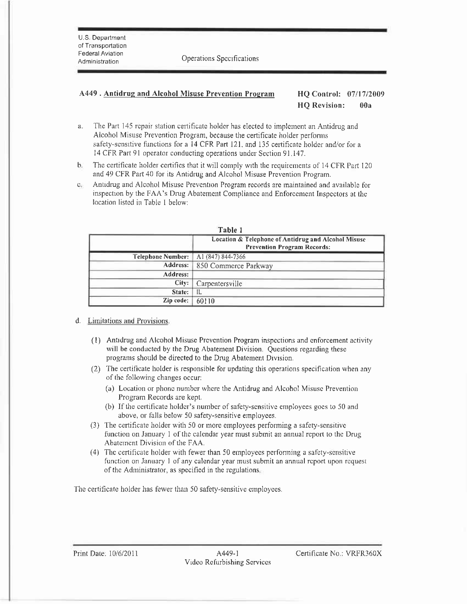U.S Department of Transportation **Federal Aviation** 

noting the Operations Specifications<br>Administration

## 4.449. Antidrus and Alcohol Misuse Prevention Prosram HQ Control: 07117/2009 HQ Revision: 00a

- a. The Part 145 repair station certificate holder has elected to implement an Antidrug and Alcohol Misuse Prevention Program, because the certificate holder performs safety-sensltive functions for a l4 CFR Part I2l. and 135 certificate holder and/or for a 14 CFR Part 91 operator conducting operations under Section 91.147.
- b. The certificate holder certifics that it will comply with the requirements of 14 CFR Part 120 and 49 CFR Part 40 for its Antidrug and Alcohol Misuse Prevention Program.
- c<sub>i</sub> Antidrug and Alcohol Misuse Prevention Program records are maintained and available for inspection by the FAA's Drug Abatement Compliance and Enforcement Inspectors at the location Iistcd in Table I below:

|                          | TADIE T                                             |  |  |
|--------------------------|-----------------------------------------------------|--|--|
|                          | Location & Telephone of Antidrug and Alcohol Misuse |  |  |
|                          | <b>Prevention Program Records:</b>                  |  |  |
| <b>Telephone Number:</b> | A <sub>1</sub> (847) 844-7366                       |  |  |
| Address:                 | 850 Commerce Parkway                                |  |  |
| Address:                 |                                                     |  |  |
| City:                    | Carpentersville                                     |  |  |
| State:                   | IL                                                  |  |  |
| Zip code:                | 60110                                               |  |  |

| вı<br>ч. |  |
|----------|--|
|----------|--|

- d. Limitations and Provisions,
	- (1) Antrdrug and Alcohol Misusc Prcvcntion Progranr inspcctions and cnforcement activity will be conducted by the Drug Abatement Division. Questions regarding these programs should be directed to the Drug Abatement Drvrsion.
	- $(2)$  The certificate holder is responsible for updating this operations specification when any of thc following changes occur:
		- (a) Location or phone number where the Antidrug and Alcohol Misuse Prevention Program Records are kept.
		- (b) If the certificate holder's number of safety-sensitive employees goes to 50 and above, or falls below 50 safety-sensitive employees.
	- (3) The certificate holder with 50 or more employees performing a safety-sensitive function on January 1 of the calendar year must submit an annual report to the Drug Abatement Division of the FAA.
	- (4) Thc certificate holder with fewer than 50 employees performing a safcty-scnsitive function on January I of any calendar year must submit an annual rcport upon request of the Administrator, as specified in the regulations

The certificate holder has fewer than 50 safety-sensitive employees.